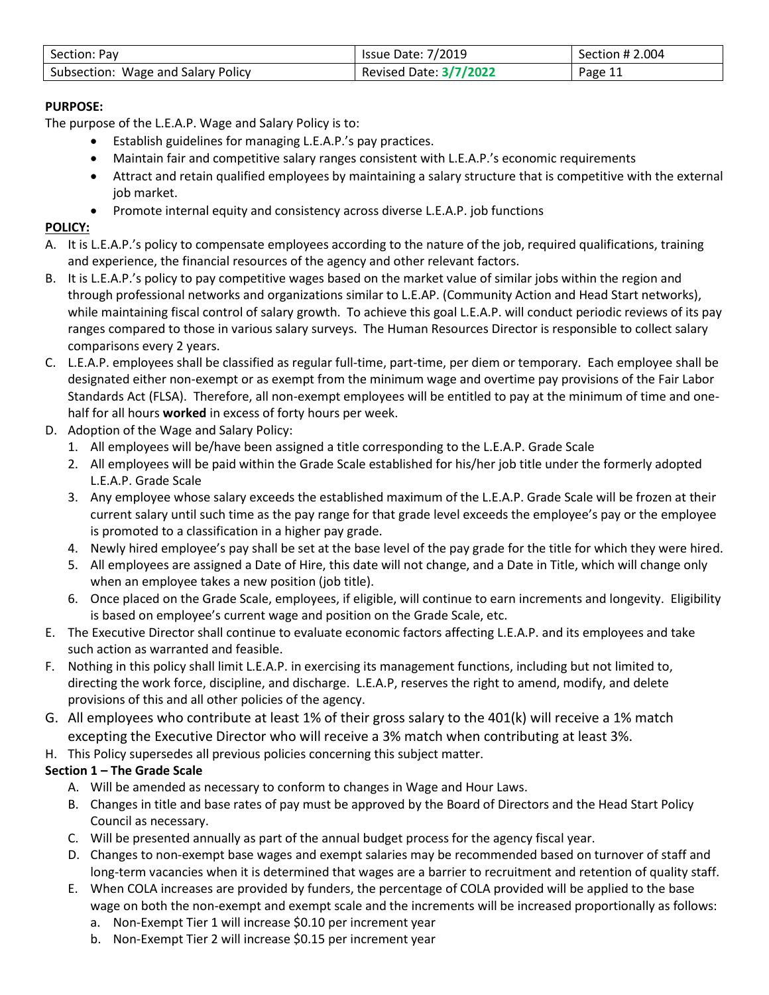| Section: Pay                       | <b>Issue Date: 7/2019</b>     | Section # 2.004 |
|------------------------------------|-------------------------------|-----------------|
| Subsection: Wage and Salary Policy | <b>Revised Date: 3/7/2022</b> | Page 11         |

# **PURPOSE:**

The purpose of the L.E.A.P. Wage and Salary Policy is to:

- Establish guidelines for managing L.E.A.P.'s pay practices.
- Maintain fair and competitive salary ranges consistent with L.E.A.P.'s economic requirements
- Attract and retain qualified employees by maintaining a salary structure that is competitive with the external job market.
- Promote internal equity and consistency across diverse L.E.A.P. job functions

# **POLICY:**

- A. It is L.E.A.P.'s policy to compensate employees according to the nature of the job, required qualifications, training and experience, the financial resources of the agency and other relevant factors.
- B. It is L.E.A.P.'s policy to pay competitive wages based on the market value of similar jobs within the region and through professional networks and organizations similar to L.E.AP. (Community Action and Head Start networks), while maintaining fiscal control of salary growth. To achieve this goal L.E.A.P. will conduct periodic reviews of its pay ranges compared to those in various salary surveys. The Human Resources Director is responsible to collect salary comparisons every 2 years.
- C. L.E.A.P. employees shall be classified as regular full-time, part-time, per diem or temporary. Each employee shall be designated either non-exempt or as exempt from the minimum wage and overtime pay provisions of the Fair Labor Standards Act (FLSA). Therefore, all non-exempt employees will be entitled to pay at the minimum of time and onehalf for all hours **worked** in excess of forty hours per week.
- D. Adoption of the Wage and Salary Policy:
	- 1. All employees will be/have been assigned a title corresponding to the L.E.A.P. Grade Scale
	- 2. All employees will be paid within the Grade Scale established for his/her job title under the formerly adopted L.E.A.P. Grade Scale
	- 3. Any employee whose salary exceeds the established maximum of the L.E.A.P. Grade Scale will be frozen at their current salary until such time as the pay range for that grade level exceeds the employee's pay or the employee is promoted to a classification in a higher pay grade.
	- 4. Newly hired employee's pay shall be set at the base level of the pay grade for the title for which they were hired.
	- 5. All employees are assigned a Date of Hire, this date will not change, and a Date in Title, which will change only when an employee takes a new position (job title).
	- 6. Once placed on the Grade Scale, employees, if eligible, will continue to earn increments and longevity. Eligibility is based on employee's current wage and position on the Grade Scale, etc.
- E. The Executive Director shall continue to evaluate economic factors affecting L.E.A.P. and its employees and take such action as warranted and feasible.
- F. Nothing in this policy shall limit L.E.A.P. in exercising its management functions, including but not limited to, directing the work force, discipline, and discharge. L.E.A.P, reserves the right to amend, modify, and delete provisions of this and all other policies of the agency.
- G. All employees who contribute at least 1% of their gross salary to the 401(k) will receive a 1% match excepting the Executive Director who will receive a 3% match when contributing at least 3%.
- H. This Policy supersedes all previous policies concerning this subject matter.

# **Section 1 – The Grade Scale**

- A. Will be amended as necessary to conform to changes in Wage and Hour Laws.
- B. Changes in title and base rates of pay must be approved by the Board of Directors and the Head Start Policy Council as necessary.
- C. Will be presented annually as part of the annual budget process for the agency fiscal year.
- D. Changes to non-exempt base wages and exempt salaries may be recommended based on turnover of staff and long-term vacancies when it is determined that wages are a barrier to recruitment and retention of quality staff.
- E. When COLA increases are provided by funders, the percentage of COLA provided will be applied to the base wage on both the non-exempt and exempt scale and the increments will be increased proportionally as follows:
	- a. Non-Exempt Tier 1 will increase \$0.10 per increment year
	- b. Non-Exempt Tier 2 will increase \$0.15 per increment year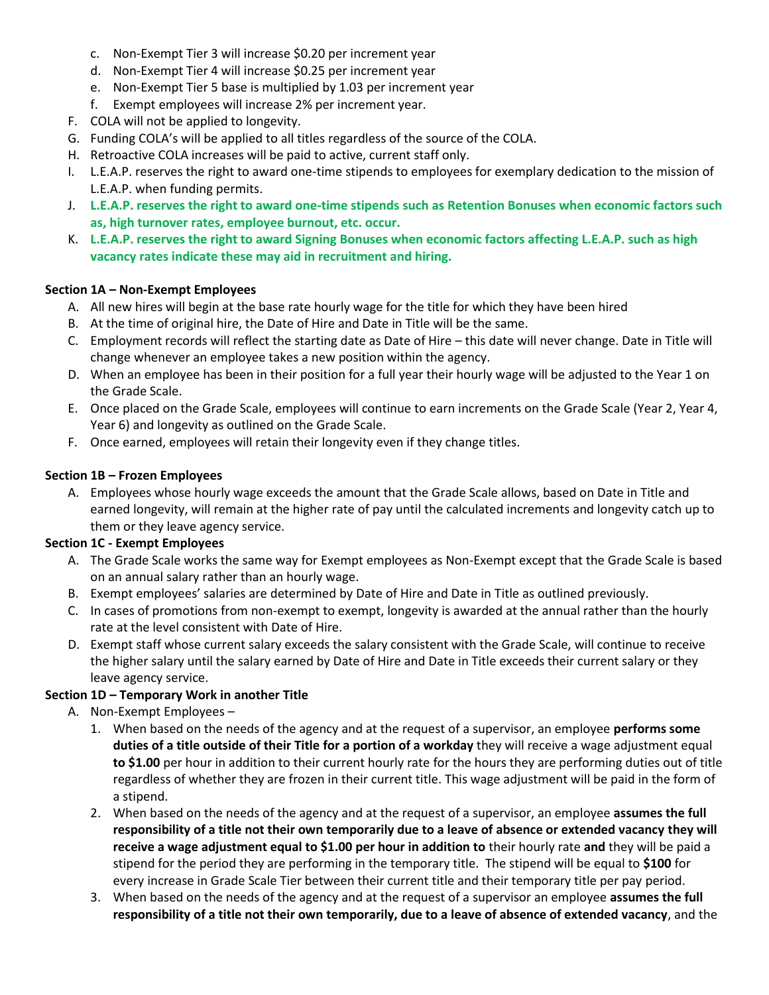- c. Non-Exempt Tier 3 will increase \$0.20 per increment year
- d. Non-Exempt Tier 4 will increase \$0.25 per increment year
- e. Non-Exempt Tier 5 base is multiplied by 1.03 per increment year
- f. Exempt employees will increase 2% per increment year.
- F. COLA will not be applied to longevity.
- G. Funding COLA's will be applied to all titles regardless of the source of the COLA.
- H. Retroactive COLA increases will be paid to active, current staff only.
- I. L.E.A.P. reserves the right to award one-time stipends to employees for exemplary dedication to the mission of L.E.A.P. when funding permits.
- J. **L.E.A.P. reserves the right to award one-time stipends such as Retention Bonuses when economic factors such as, high turnover rates, employee burnout, etc. occur.**
- K. **L.E.A.P. reserves the right to award Signing Bonuses when economic factors affecting L.E.A.P. such as high vacancy rates indicate these may aid in recruitment and hiring.**

### **Section 1A – Non-Exempt Employees**

- A. All new hires will begin at the base rate hourly wage for the title for which they have been hired
- B. At the time of original hire, the Date of Hire and Date in Title will be the same.
- C. Employment records will reflect the starting date as Date of Hire this date will never change. Date in Title will change whenever an employee takes a new position within the agency.
- D. When an employee has been in their position for a full year their hourly wage will be adjusted to the Year 1 on the Grade Scale.
- E. Once placed on the Grade Scale, employees will continue to earn increments on the Grade Scale (Year 2, Year 4, Year 6) and longevity as outlined on the Grade Scale.
- F. Once earned, employees will retain their longevity even if they change titles.

### **Section 1B – Frozen Employees**

A. Employees whose hourly wage exceeds the amount that the Grade Scale allows, based on Date in Title and earned longevity, will remain at the higher rate of pay until the calculated increments and longevity catch up to them or they leave agency service.

#### **Section 1C - Exempt Employees**

- A. The Grade Scale works the same way for Exempt employees as Non-Exempt except that the Grade Scale is based on an annual salary rather than an hourly wage.
- B. Exempt employees' salaries are determined by Date of Hire and Date in Title as outlined previously.
- C. In cases of promotions from non-exempt to exempt, longevity is awarded at the annual rather than the hourly rate at the level consistent with Date of Hire.
- D. Exempt staff whose current salary exceeds the salary consistent with the Grade Scale, will continue to receive the higher salary until the salary earned by Date of Hire and Date in Title exceeds their current salary or they leave agency service.

#### **Section 1D – Temporary Work in another Title**

- A. Non-Exempt Employees
	- 1. When based on the needs of the agency and at the request of a supervisor, an employee **performs some duties of a title outside of their Title for a portion of a workday** they will receive a wage adjustment equal **to \$1.00** per hour in addition to their current hourly rate for the hours they are performing duties out of title regardless of whether they are frozen in their current title. This wage adjustment will be paid in the form of a stipend.
	- 2. When based on the needs of the agency and at the request of a supervisor, an employee **assumes the full responsibility of a title not their own temporarily due to a leave of absence or extended vacancy they will receive a wage adjustment equal to \$1.00 per hour in addition to** their hourly rate **and** they will be paid a stipend for the period they are performing in the temporary title. The stipend will be equal to **\$100** for every increase in Grade Scale Tier between their current title and their temporary title per pay period.
	- 3. When based on the needs of the agency and at the request of a supervisor an employee **assumes the full responsibility of a title not their own temporarily, due to a leave of absence of extended vacancy**, and the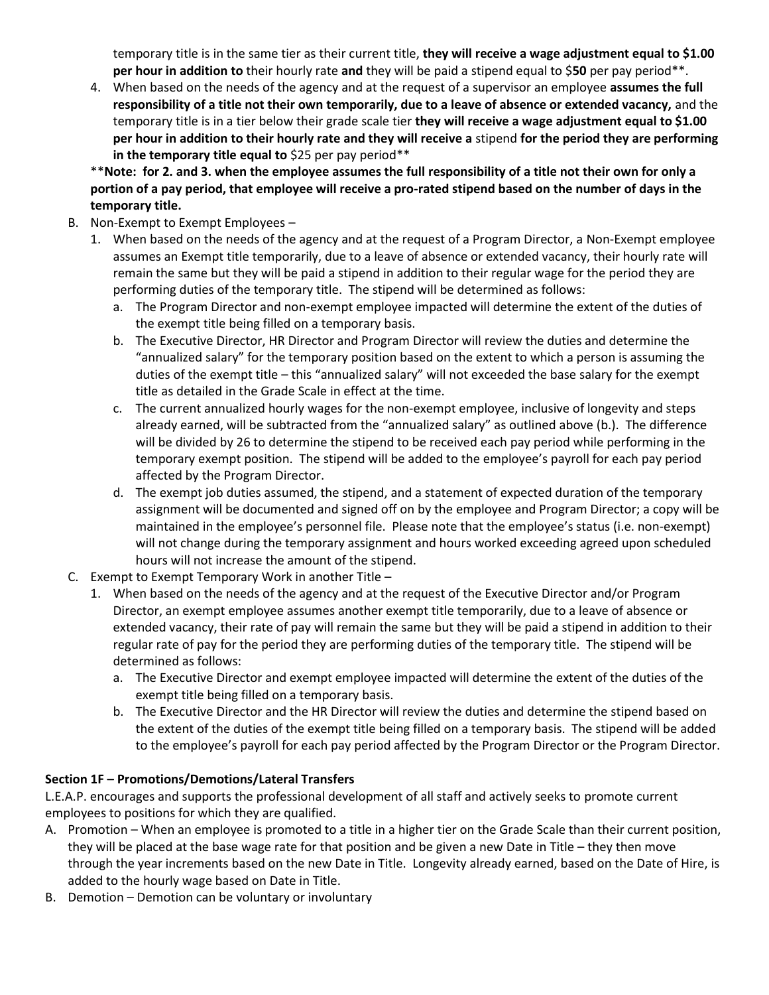temporary title is in the same tier as their current title, **they will receive a wage adjustment equal to \$1.00 per hour in addition to** their hourly rate **and** they will be paid a stipend equal to \$**50** per pay period\*\*.

4. When based on the needs of the agency and at the request of a supervisor an employee **assumes the full responsibility of a title not their own temporarily, due to a leave of absence or extended vacancy,** and the temporary title is in a tier below their grade scale tier **they will receive a wage adjustment equal to \$1.00 per hour in addition to their hourly rate and they will receive a** stipend **for the period they are performing in the temporary title equal to** \$25 per pay period\*\*

\*\***Note: for 2. and 3. when the employee assumes the full responsibility of a title not their own for only a portion of a pay period, that employee will receive a pro-rated stipend based on the number of days in the temporary title.**

- B. Non-Exempt to Exempt Employees
	- 1. When based on the needs of the agency and at the request of a Program Director, a Non-Exempt employee assumes an Exempt title temporarily, due to a leave of absence or extended vacancy, their hourly rate will remain the same but they will be paid a stipend in addition to their regular wage for the period they are performing duties of the temporary title. The stipend will be determined as follows:
		- a. The Program Director and non-exempt employee impacted will determine the extent of the duties of the exempt title being filled on a temporary basis.
		- b. The Executive Director, HR Director and Program Director will review the duties and determine the "annualized salary" for the temporary position based on the extent to which a person is assuming the duties of the exempt title – this "annualized salary" will not exceeded the base salary for the exempt title as detailed in the Grade Scale in effect at the time.
		- c. The current annualized hourly wages for the non-exempt employee, inclusive of longevity and steps already earned, will be subtracted from the "annualized salary" as outlined above (b.). The difference will be divided by 26 to determine the stipend to be received each pay period while performing in the temporary exempt position. The stipend will be added to the employee's payroll for each pay period affected by the Program Director.
		- d. The exempt job duties assumed, the stipend, and a statement of expected duration of the temporary assignment will be documented and signed off on by the employee and Program Director; a copy will be maintained in the employee's personnel file. Please note that the employee's status (i.e. non-exempt) will not change during the temporary assignment and hours worked exceeding agreed upon scheduled hours will not increase the amount of the stipend.
- C. Exempt to Exempt Temporary Work in another Title
	- 1. When based on the needs of the agency and at the request of the Executive Director and/or Program Director, an exempt employee assumes another exempt title temporarily, due to a leave of absence or extended vacancy, their rate of pay will remain the same but they will be paid a stipend in addition to their regular rate of pay for the period they are performing duties of the temporary title. The stipend will be determined as follows:
		- a. The Executive Director and exempt employee impacted will determine the extent of the duties of the exempt title being filled on a temporary basis.
		- b. The Executive Director and the HR Director will review the duties and determine the stipend based on the extent of the duties of the exempt title being filled on a temporary basis. The stipend will be added to the employee's payroll for each pay period affected by the Program Director or the Program Director.

## **Section 1F – Promotions/Demotions/Lateral Transfers**

L.E.A.P. encourages and supports the professional development of all staff and actively seeks to promote current employees to positions for which they are qualified.

- A. Promotion When an employee is promoted to a title in a higher tier on the Grade Scale than their current position, they will be placed at the base wage rate for that position and be given a new Date in Title – they then move through the year increments based on the new Date in Title. Longevity already earned, based on the Date of Hire, is added to the hourly wage based on Date in Title.
- B. Demotion Demotion can be voluntary or involuntary